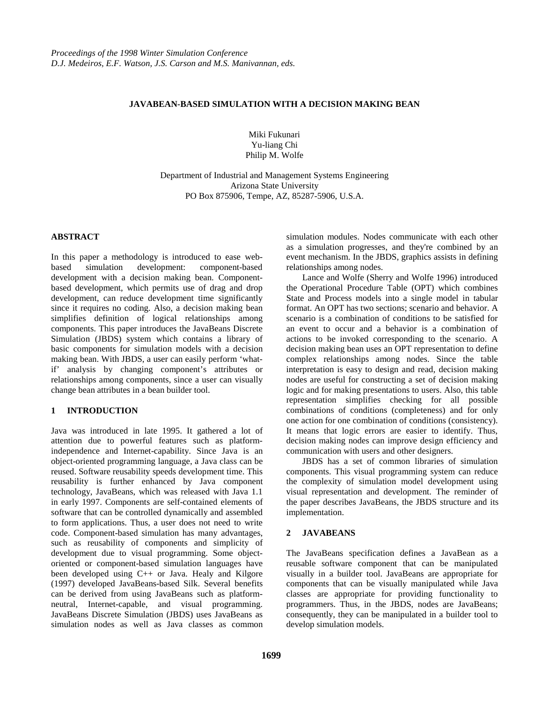#### **JAVABEAN-BASED SIMULATION WITH A DECISION MAKING BEAN**

Miki Fukunari Yu-liang Chi Philip M. Wolfe

Department of Industrial and Management Systems Engineering Arizona State University PO Box 875906, Tempe, AZ, 85287-5906, U.S.A.

#### **ABSTRACT**

In this paper a methodology is introduced to ease webbased simulation development: component-based development with a decision making bean. Componentbased development, which permits use of drag and drop development, can reduce development time significantly since it requires no coding. Also, a decision making bean simplifies definition of logical relationships among components. This paper introduces the JavaBeans Discrete Simulation (JBDS) system which contains a library of basic components for simulation models with a decision making bean. With JBDS, a user can easily perform 'whatif' analysis by changing component's attributes or relationships among components, since a user can visually change bean attributes in a bean builder tool.

# **1 INTRODUCTION**

Java was introduced in late 1995. It gathered a lot of attention due to powerful features such as platformindependence and Internet-capability. Since Java is an object-oriented programming language, a Java class can be reused. Software reusability speeds development time. This reusability is further enhanced by Java component technology, JavaBeans, which was released with Java 1.1 in early 1997. Components are self-contained elements of software that can be controlled dynamically and assembled to form applications. Thus, a user does not need to write code. Component-based simulation has many advantages, such as reusability of components and simplicity of development due to visual programming. Some objectoriented or component-based simulation languages have been developed using C++ or Java. Healy and Kilgore (1997) developed JavaBeans-based Silk. Several benefits can be derived from using JavaBeans such as platformneutral, Internet-capable, and visual programming. JavaBeans Discrete Simulation (JBDS) uses JavaBeans as simulation nodes as well as Java classes as common

simulation modules. Nodes communicate with each other as a simulation progresses, and they're combined by an event mechanism. In the JBDS, graphics assists in defining relationships among nodes.

Lance and Wolfe (Sherry and Wolfe 1996) introduced the Operational Procedure Table (OPT) which combines State and Process models into a single model in tabular format. An OPT has two sections; scenario and behavior. A scenario is a combination of conditions to be satisfied for an event to occur and a behavior is a combination of actions to be invoked corresponding to the scenario. A decision making bean uses an OPT representation to define complex relationships among nodes. Since the table interpretation is easy to design and read, decision making nodes are useful for constructing a set of decision making logic and for making presentations to users. Also, this table representation simplifies checking for all possible combinations of conditions (completeness) and for only one action for one combination of conditions (consistency). It means that logic errors are easier to identify. Thus, decision making nodes can improve design efficiency and communication with users and other designers.

JBDS has a set of common libraries of simulation components. This visual programming system can reduce the complexity of simulation model development using visual representation and development. The reminder of the paper describes JavaBeans, the JBDS structure and its implementation.

# **2 JAVABEANS**

The JavaBeans specification defines a JavaBean as a reusable software component that can be manipulated visually in a builder tool. JavaBeans are appropriate for components that can be visually manipulated while Java classes are appropriate for providing functionality to programmers. Thus, in the JBDS, nodes are JavaBeans; consequently, they can be manipulated in a builder tool to develop simulation models.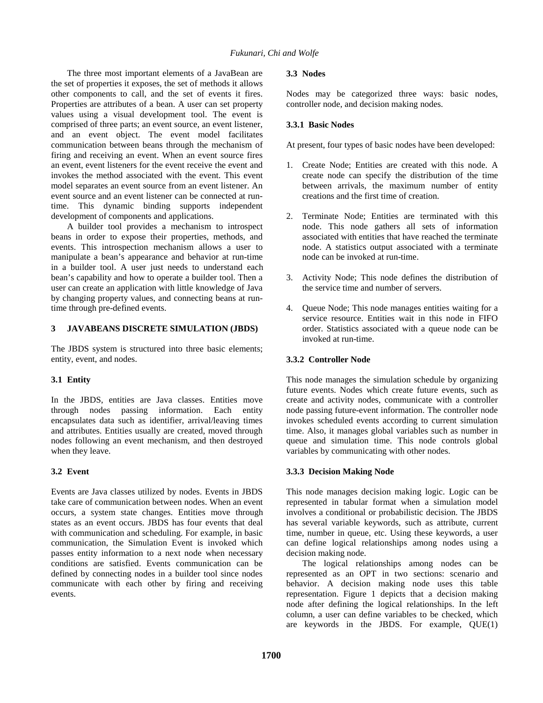The three most important elements of a JavaBean are the set of properties it exposes, the set of methods it allows other components to call, and the set of events it fires. Properties are attributes of a bean. A user can set property values using a visual development tool. The event is comprised of three parts; an event source, an event listener, and an event object. The event model facilitates communication between beans through the mechanism of firing and receiving an event. When an event source fires an event, event listeners for the event receive the event and invokes the method associated with the event. This event model separates an event source from an event listener. An event source and an event listener can be connected at runtime. This dynamic binding supports independent development of components and applications.

A builder tool provides a mechanism to introspect beans in order to expose their properties, methods, and events. This introspection mechanism allows a user to manipulate a bean's appearance and behavior at run-time in a builder tool. A user just needs to understand each bean's capability and how to operate a builder tool. Then a user can create an application with little knowledge of Java by changing property values, and connecting beans at runtime through pre-defined events.

#### **3 JAVABEANS DISCRETE SIMULATION (JBDS)**

The JBDS system is structured into three basic elements; entity, event, and nodes.

# **3.1 Entity**

In the JBDS, entities are Java classes. Entities move through nodes passing information. Each entity encapsulates data such as identifier, arrival/leaving times and attributes. Entities usually are created, moved through nodes following an event mechanism, and then destroyed when they leave.

# **3.2 Event**

Events are Java classes utilized by nodes. Events in JBDS take care of communication between nodes. When an event occurs, a system state changes. Entities move through states as an event occurs. JBDS has four events that deal with communication and scheduling. For example, in basic communication, the Simulation Event is invoked which passes entity information to a next node when necessary conditions are satisfied. Events communication can be defined by connecting nodes in a builder tool since nodes communicate with each other by firing and receiving events.

#### **3.3 Nodes**

Nodes may be categorized three ways: basic nodes, controller node, and decision making nodes.

# **3.3.1 Basic Nodes**

At present, four types of basic nodes have been developed:

- 1. Create Node; Entities are created with this node. A create node can specify the distribution of the time between arrivals, the maximum number of entity creations and the first time of creation.
- 2. Terminate Node; Entities are terminated with this node. This node gathers all sets of information associated with entities that have reached the terminate node. A statistics output associated with a terminate node can be invoked at run-time.
- 3. Activity Node; This node defines the distribution of the service time and number of servers.
- 4. Queue Node; This node manages entities waiting for a service resource. Entities wait in this node in FIFO order. Statistics associated with a queue node can be invoked at run-time.

# **3.3.2 Controller Node**

This node manages the simulation schedule by organizing future events. Nodes which create future events, such as create and activity nodes, communicate with a controller node passing future-event information. The controller node invokes scheduled events according to current simulation time. Also, it manages global variables such as number in queue and simulation time. This node controls global variables by communicating with other nodes.

# **3.3.3 Decision Making Node**

This node manages decision making logic. Logic can be represented in tabular format when a simulation model involves a conditional or probabilistic decision. The JBDS has several variable keywords, such as attribute, current time, number in queue, etc. Using these keywords, a user can define logical relationships among nodes using a decision making node.

The logical relationships among nodes can be represented as an OPT in two sections: scenario and behavior. A decision making node uses this table representation. Figure 1 depicts that a decision making node after defining the logical relationships. In the left column, a user can define variables to be checked, which are keywords in the JBDS. For example, QUE(1)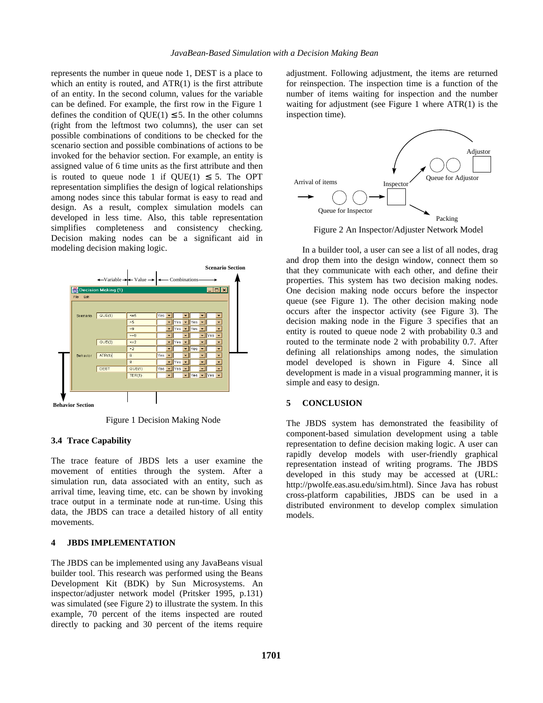represents the number in queue node 1, DEST is a place to which an entity is routed, and ATR(1) is the first attribute of an entity. In the second column, values for the variable can be defined. For example, the first row in the Figure 1 defines the condition of QUE(1)  $\leq$  5. In the other columns (right from the leftmost two columns), the user can set possible combinations of conditions to be checked for the scenario section and possible combinations of actions to be invoked for the behavior section. For example, an entity is assigned value of 6 time units as the first attribute and then is routed to queue node 1 if  $OUE(1) \le 5$ . The OPT representation simplifies the design of logical relationships among nodes since this tabular format is easy to read and design. As a result, complex simulation models can developed in less time. Also, this table representation simplifies completeness and consistency checking. Decision making nodes can be a significant aid in modeling decision making logic.



Figure 1 Decision Making Node

#### **3.4 Trace Capability**

The trace feature of JBDS lets a user examine the movement of entities through the system. After a simulation run, data associated with an entity, such as arrival time, leaving time, etc. can be shown by invoking trace output in a terminate node at run-time. Using this data, the JBDS can trace a detailed history of all entity movements.

# **4 JBDS IMPLEMENTATION**

The JBDS can be implemented using any JavaBeans visual builder tool. This research was performed using the Beans Development Kit (BDK) by Sun Microsystems. An inspector/adjuster network model (Pritsker 1995, p.131) was simulated (see Figure 2) to illustrate the system. In this example, 70 percent of the items inspected are routed directly to packing and 30 percent of the items require adjustment. Following adjustment, the items are returned for reinspection. The inspection time is a function of the number of items waiting for inspection and the number waiting for adjustment (see Figure 1 where ATR(1) is the inspection time).



Figure 2 An Inspector/Adjuster Network Model

In a builder tool, a user can see a list of all nodes, drag and drop them into the design window, connect them so that they communicate with each other, and define their properties. This system has two decision making nodes. One decision making node occurs before the inspector queue (see Figure 1). The other decision making node occurs after the inspector activity (see Figure 3). The decision making node in the Figure 3 specifies that an entity is routed to queue node 2 with probability 0.3 and routed to the terminate node 2 with probability 0.7. After defining all relationships among nodes, the simulation model developed is shown in Figure 4. Since all development is made in a visual programming manner, it is simple and easy to design.

#### **5 CONCLUSION**

The JBDS system has demonstrated the feasibility of component-based simulation development using a table representation to define decision making logic. A user can rapidly develop models with user-friendly graphical representation instead of writing programs. The JBDS developed in this study may be accessed at (URL: http://pwolfe.eas.asu.edu/sim.html). Since Java has robust cross-platform capabilities, JBDS can be used in a distributed environment to develop complex simulation models.